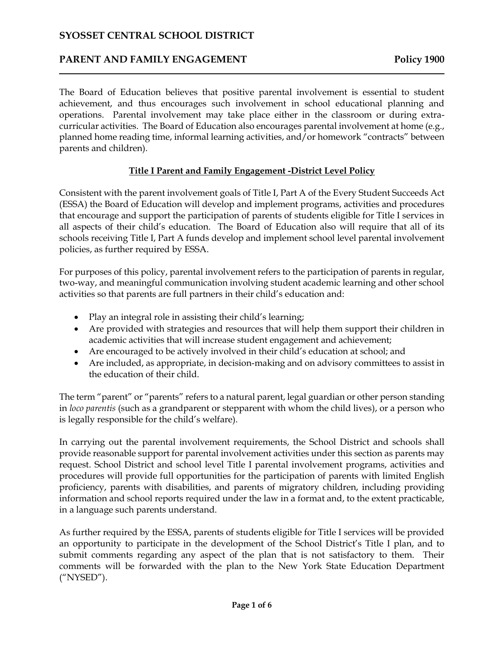# **PARENT AND FAMILY ENGAGEMENT POLICY 1900**

 The Board of Education believes that positive parental involvement is essential to student achievement, and thus encourages such involvement in school educational planning and operations. Parental involvement may take place either in the classroom or during extra- parents and children). curricular activities. The Board of Education also encourages parental involvement at home (e.g., planned home reading time, informal learning activities, and/or homework "contracts" between

### **Title I Parent and Family Engagement -District Level Policy**

 that encourage and support the participation of parents of students eligible for Title I services in all aspects of their child's education. The Board of Education also will require that all of its Consistent with the parent involvement goals of Title I, Part A of the Every Student Succeeds Act (ESSA) the Board of Education will develop and implement programs, activities and procedures schools receiving Title I, Part A funds develop and implement school level parental involvement policies, as further required by ESSA.

For purposes of this policy, parental involvement refers to the participation of parents in regular, two-way, and meaningful communication involving student academic learning and other school activities so that parents are full partners in their child's education and:

- Play an integral role in assisting their child's learning;
- • Are provided with strategies and resources that will help them support their children in academic activities that will increase student engagement and achievement;
- Are encouraged to be actively involved in their child's education at school; and
- Are included, as appropriate, in decision-making and on advisory committees to assist in the education of their child.

 The term "parent" or "parents" refers to a natural parent, legal guardian or other person standing in *loco parentis* (such as a grandparent or stepparent with whom the child lives), or a person who is legally responsible for the child's welfare).

 procedures will provide full opportunities for the participation of parents with limited English information and school reports required under the law in a format and, to the extent practicable, In carrying out the parental involvement requirements, the School District and schools shall provide reasonable support for parental involvement activities under this section as parents may request. School District and school level Title I parental involvement programs, activities and proficiency, parents with disabilities, and parents of migratory children, including providing in a language such parents understand.

 As further required by the ESSA, parents of students eligible for Title I services will be provided submit comments regarding any aspect of the plan that is not satisfactory to them. Their comments will be forwarded with the plan to the New York State Education Department an opportunity to participate in the development of the School District's Title I plan, and to ("NYSED").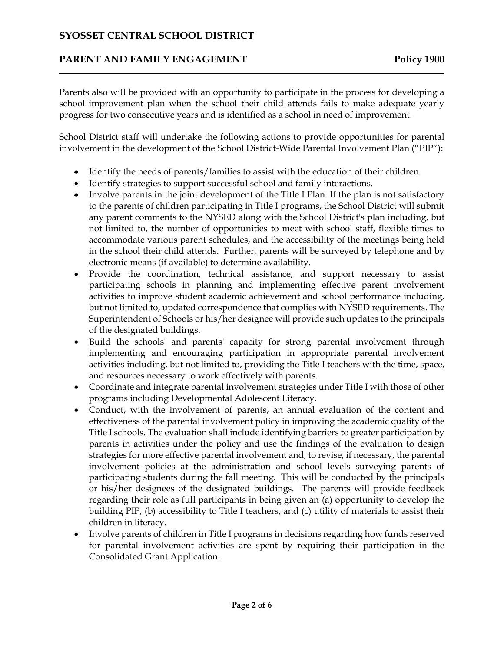# **PARENT AND FAMILY ENGAGEMENT POLICY 1900**

 Parents also will be provided with an opportunity to participate in the process for developing a school improvement plan when the school their child attends fails to make adequate yearly progress for two consecutive years and is identified as a school in need of improvement.

 School District staff will undertake the following actions to provide opportunities for parental involvement in the development of the School District-Wide Parental Involvement Plan ("PIP"):

- Identify the needs of parents/families to assist with the education of their children.
- Identify strategies to support successful school and family interactions.
- • Involve parents in the joint development of the Title I Plan. If the plan is not satisfactory to the parents of children participating in Title I programs, the School District will submit accommodate various parent schedules, and the accessibility of the meetings being held in the school their child attends. Further, parents will be surveyed by telephone and by electronic means (if available) to determine availability. any parent comments to the NYSED along with the School District's plan including, but not limited to, the number of opportunities to meet with school staff, flexible times to
- but not limited to, updated correspondence that complies with NYSED requirements. The Superintendent of Schools or his/her designee will provide such updates to the principals • Provide the coordination, technical assistance, and support necessary to assist participating schools in planning and implementing effective parent involvement activities to improve student academic achievement and school performance including, of the designated buildings.
- • Build the schools' and parents' capacity for strong parental involvement through implementing and encouraging participation in appropriate parental involvement activities including, but not limited to, providing the Title I teachers with the time, space, and resources necessary to work effectively with parents.
- • Coordinate and integrate parental involvement strategies under Title I with those of other programs including Developmental Adolescent Literacy.
- • Conduct, with the involvement of parents, an annual evaluation of the content and Title I schools. The evaluation shall include identifying barriers to greater participation by parents in activities under the policy and use the findings of the evaluation to design participating students during the fall meeting. This will be conducted by the principals or his/her designees of the designated buildings. The parents will provide feedback regarding their role as full participants in being given an (a) opportunity to develop the children in literacy. effectiveness of the parental involvement policy in improving the academic quality of the strategies for more effective parental involvement and, to revise, if necessary, the parental involvement policies at the administration and school levels surveying parents of building PIP, (b) accessibility to Title I teachers, and (c) utility of materials to assist their
- • Involve parents of children in Title I programs in decisions regarding how funds reserved for parental involvement activities are spent by requiring their participation in the Consolidated Grant Application.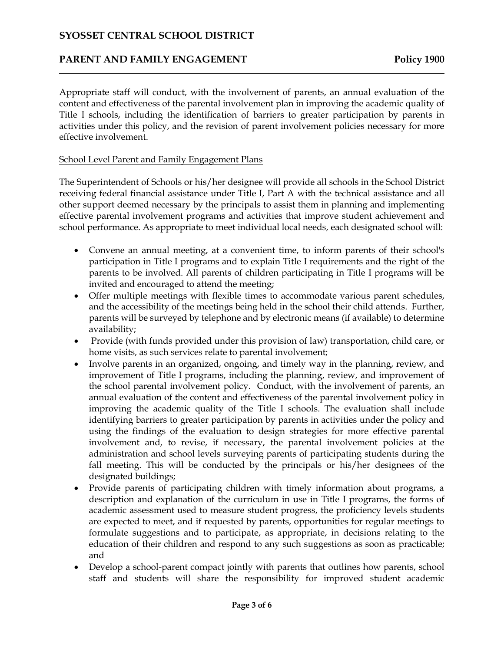# **PARENT AND FAMILY ENGAGEMENT POLICY 1900**

 Appropriate staff will conduct, with the involvement of parents, an annual evaluation of the content and effectiveness of the parental involvement plan in improving the academic quality of Title I schools, including the identification of barriers to greater participation by parents in activities under this policy, and the revision of parent involvement policies necessary for more effective involvement.

#### School Level Parent and Family Engagement Plans

 receiving federal financial assistance under Title I, Part A with the technical assistance and all other support deemed necessary by the principals to assist them in planning and implementing The Superintendent of Schools or his/her designee will provide all schools in the School District effective parental involvement programs and activities that improve student achievement and school performance. As appropriate to meet individual local needs, each designated school will:

- participation in Title I programs and to explain Title I requirements and the right of the parents to be involved. All parents of children participating in Title I programs will be • Convene an annual meeting, at a convenient time, to inform parents of their school's invited and encouraged to attend the meeting;
- parents will be surveyed by telephone and by electronic means (if available) to determine • Offer multiple meetings with flexible times to accommodate various parent schedules, and the accessibility of the meetings being held in the school their child attends. Further, availability;
- Provide (with funds provided under this provision of law) transportation, child care, or home visits, as such services relate to parental involvement;
- • Involve parents in an organized, ongoing, and timely way in the planning, review, and improvement of Title I programs, including the planning, review, and improvement of annual evaluation of the content and effectiveness of the parental involvement policy in improving the academic quality of the Title I schools. The evaluation shall include using the findings of the evaluation to design strategies for more effective parental fall meeting. This will be conducted by the principals or his/her designees of the the school parental involvement policy. Conduct, with the involvement of parents, an identifying barriers to greater participation by parents in activities under the policy and involvement and, to revise, if necessary, the parental involvement policies at the administration and school levels surveying parents of participating students during the designated buildings;
- • Provide parents of participating children with timely information about programs, a description and explanation of the curriculum in use in Title I programs, the forms of academic assessment used to measure student progress, the proficiency levels students are expected to meet, and if requested by parents, opportunities for regular meetings to education of their children and respond to any such suggestions as soon as practicable; formulate suggestions and to participate, as appropriate, in decisions relating to the and
- Develop a school-parent compact jointly with parents that outlines how parents, school staff and students will share the responsibility for improved student academic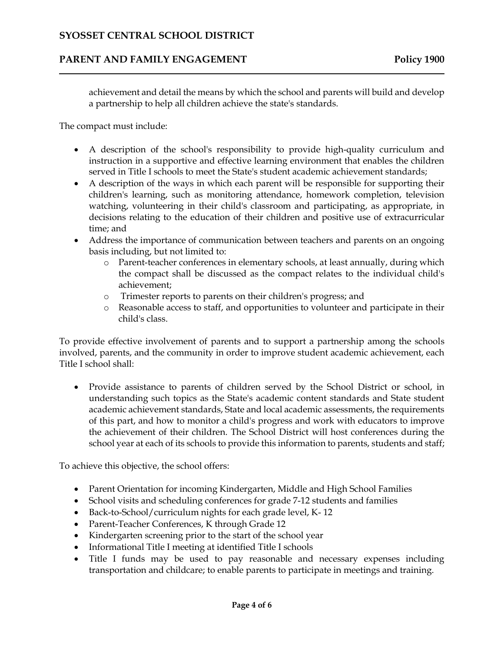# **PARENT AND FAMILY ENGAGEMENT POLICY 1900**

 achievement and detail the means by which the school and parents will build and develop a partnership to help all children achieve the state's standards.

The compact must include:

- instruction in a supportive and effective learning environment that enables the children • A description of the school's responsibility to provide high-quality curriculum and served in Title I schools to meet the State's student academic achievement standards;
- • A description of the ways in which each parent will be responsible for supporting their children's learning, such as monitoring attendance, homework completion, television decisions relating to the education of their children and positive use of extracurricular watching, volunteering in their child's classroom and participating, as appropriate, in time; and
- • Address the importance of communication between teachers and parents on an ongoing basis including, but not limited to:
	- o Parent-teacher conferences in elementary schools, at least annually, during which the compact shall be discussed as the compact relates to the individual child's achievement;
	- o Trimester reports to parents on their children's progress; and
	- o Reasonable access to staff, and opportunities to volunteer and participate in their child's class.

 involved, parents, and the community in order to improve student academic achievement, each To provide effective involvement of parents and to support a partnership among the schools Title I school shall:

 • Provide assistance to parents of children served by the School District or school, in school year at each of its schools to provide this information to parents, students and staff; understanding such topics as the State's academic content standards and State student academic achievement standards, State and local academic assessments, the requirements of this part, and how to monitor a child's progress and work with educators to improve the achievement of their children. The School District will host conferences during the

To achieve this objective, the school offers:

- Parent Orientation for incoming Kindergarten, Middle and High School Families
- School visits and scheduling conferences for grade 7-12 students and families
- Back-to-School/curriculum nights for each grade level, K- 12
- Parent-Teacher Conferences, K through Grade 12
- Kindergarten screening prior to the start of the school year
- Informational Title I meeting at identified Title I schools
- • Title I funds may be used to pay reasonable and necessary expenses including transportation and childcare; to enable parents to participate in meetings and training.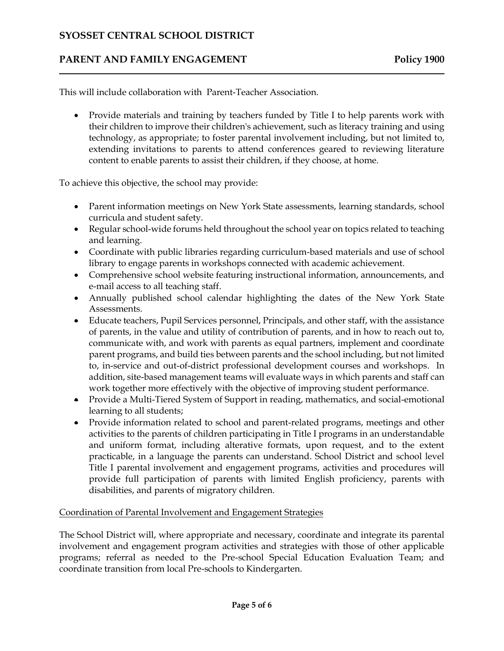### **PARENT AND FAMILY ENGAGEMENT POLICY 1900**

This will include collaboration with Parent-Teacher Association.

 their children to improve their children's achievement, such as literacy training and using content to enable parents to assist their children, if they choose, at home. To achieve this objective, the school may provide: • Provide materials and training by teachers funded by Title I to help parents work with technology, as appropriate; to foster parental involvement including, but not limited to, extending invitations to parents to attend conferences geared to reviewing literature

- Parent information meetings on New York State assessments, learning standards, school curricula and student safety.
- • Regular school-wide forums held throughout the school year on topics related to teaching and learning.
- Coordinate with public libraries regarding curriculum-based materials and use of school library to engage parents in workshops connected with academic achievement.
- Comprehensive school website featuring instructional information, announcements, and e-mail access to all teaching staff.
- • Annually published school calendar highlighting the dates of the New York State Assessments.
- • Educate teachers, Pupil Services personnel, Principals, and other staff, with the assistance of parents, in the value and utility of contribution of parents, and in how to reach out to, communicate with, and work with parents as equal partners, implement and coordinate to, in-service and out-of-district professional development courses and workshops. In addition, site-based management teams will evaluate ways in which parents and staff can parent programs, and build ties between parents and the school including, but not limited work together more effectively with the objective of improving student performance.
- • Provide a Multi-Tiered System of Support in reading, mathematics, and social-emotional learning to all students;
- activities to the parents of children participating in Title I programs in an understandable provide full participation of parents with limited English proficiency, parents with • Provide information related to school and parent-related programs, meetings and other and uniform format, including alterative formats, upon request, and to the extent practicable, in a language the parents can understand. School District and school level Title I parental involvement and engagement programs, activities and procedures will disabilities, and parents of migratory children.

#### Coordination of Parental Involvement and Engagement Strategies

 programs; referral as needed to the Pre-school Special Education Evaluation Team; and The School District will, where appropriate and necessary, coordinate and integrate its parental involvement and engagement program activities and strategies with those of other applicable coordinate transition from local Pre-schools to Kindergarten.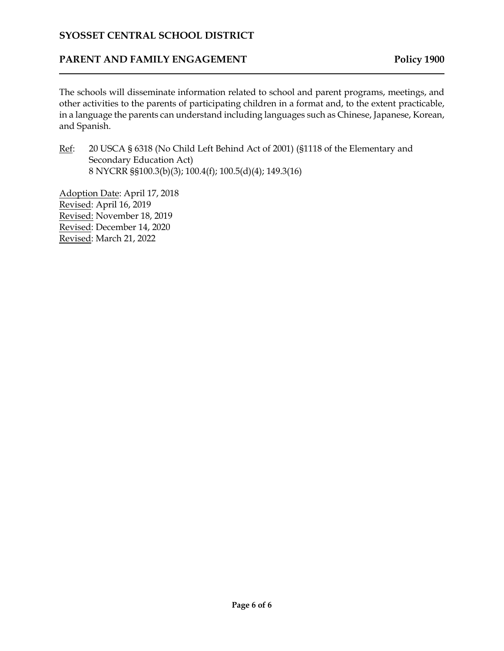# **PARENT AND FAMILY ENGAGEMENT POLICY 1900**

 The schools will disseminate information related to school and parent programs, meetings, and other activities to the parents of participating children in a format and, to the extent practicable, in a language the parents can understand including languages such as Chinese, Japanese, Korean, and Spanish.

Ref: 20 USCA § 6318 (No Child Left Behind Act of 2001) (§1118 of the Elementary and Secondary Education Act) 8 NYCRR §§100.3(b)(3); 100.4(f); 100.5(d)(4); 149.3(16)

Adoption Date: April 17, 2018 Revised: April 16, 2019 Revised: November 18, 2019 Revised: December 14, 2020 Revised: March 21, 2022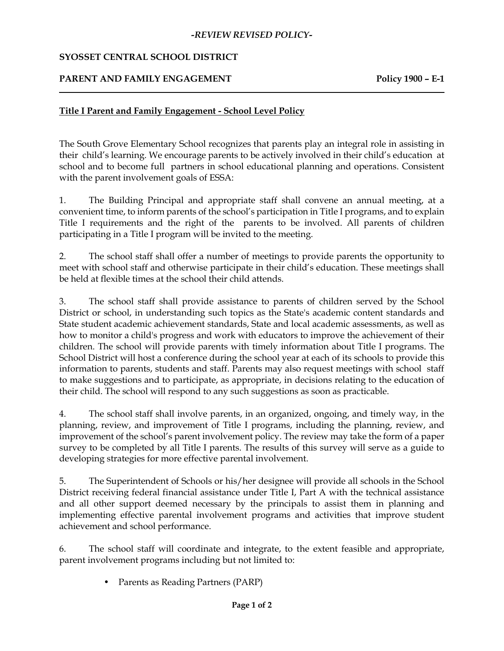#### *-REVIEW REVISED POLICY-*

### **SYOSSET CENTRAL SCHOOL DISTRICT**

# **PARENT AND FAMILY ENGAGEMENT** Policy 1900 **-** E-1

### **Title I Parent and Family Engagement - School Level Policy**

 The South Grove Elementary School recognizes that parents play an integral role in assisting in their child's learning. We encourage parents to be actively involved in their child's education at school and to become full partners in school educational planning and operations. Consistent with the parent involvement goals of ESSA:

 1. The Building Principal and appropriate staff shall convene an annual meeting, at a convenient time, to inform parents of the school's participation in Title I programs, and to explain Title I requirements and the right of the parents to be involved. All parents of children participating in a Title I program will be invited to the meeting.

 2. The school staff shall offer a number of meetings to provide parents the opportunity to meet with school staff and otherwise participate in their child's education. These meetings shall be held at flexible times at the school their child attends.

 3. The school staff shall provide assistance to parents of children served by the School District or school, in understanding such topics as the State's academic content standards and State student academic achievement standards, State and local academic assessments, as well as how to monitor a child's progress and work with educators to improve the achievement of their information to parents, students and staff. Parents may also request meetings with school staff to make suggestions and to participate, as appropriate, in decisions relating to the education of children. The school will provide parents with timely information about Title I programs. The School District will host a conference during the school year at each of its schools to provide this their child. The school will respond to any such suggestions as soon as practicable.

 4. The school staff shall involve parents, in an organized, ongoing, and timely way, in the planning, review, and improvement of Title I programs, including the planning, review, and survey to be completed by all Title I parents. The results of this survey will serve as a guide to improvement of the school's parent involvement policy. The review may take the form of a paper developing strategies for more effective parental involvement.

 5. The Superintendent of Schools or his/her designee will provide all schools in the School District receiving federal financial assistance under Title I, Part A with the technical assistance and all other support deemed necessary by the principals to assist them in planning and implementing effective parental involvement programs and activities that improve student achievement and school performance.

 6. The school staff will coordinate and integrate, to the extent feasible and appropriate, parent involvement programs including but not limited to:

• Parents as Reading Partners (PARP)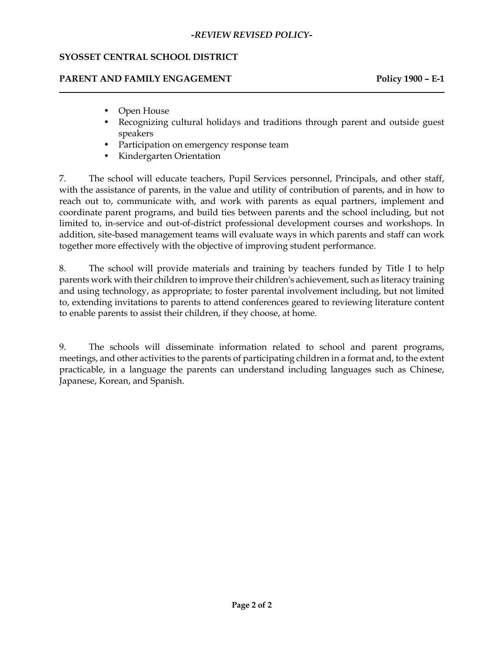#### *-REVIEW REVISED POLICY-*

#### **SYOSSET CENTRAL SCHOOL DISTRICT**

### PARENT AND FAMILY ENGAGEMENT Policy 1900 - E-1

- Open House
- Recognizing cultural holidays and traditions through parent and outside guest speakers
- Participation on emergency response team
- Kindergarten Orientation

 7. The school will educate teachers, Pupil Services personnel, Principals, and other staff, addition, site-based management teams will evaluate ways in which parents and staff can work with the assistance of parents, in the value and utility of contribution of parents, and in how to reach out to, communicate with, and work with parents as equal partners, implement and coordinate parent programs, and build ties between parents and the school including, but not limited to, in-service and out-of-district professional development courses and workshops. In together more effectively with the objective of improving student performance.

 8. The school will provide materials and training by teachers funded by Title I to help parents work with their children to improve their children's achievement, such as literacy training to, extending invitations to parents to attend conferences geared to reviewing literature content and using technology, as appropriate; to foster parental involvement including, but not limited to enable parents to assist their children, if they choose, at home.

 meetings, and other activities to the parents of participating children in a format and, to the extent practicable, in a language the parents can understand including languages such as Chinese, 9. The schools will disseminate information related to school and parent programs, Japanese, Korean, and Spanish.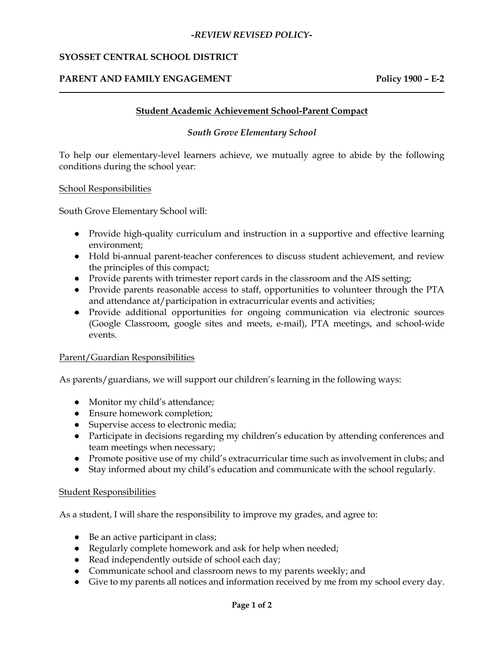#### *-REVIEW REVISED POLICY-*

### **SYOSSET CENTRAL SCHOOL DISTRICT**

### PARENT AND FAMILY ENGAGEMENT Policy 1900 - E-2

#### **Student Academic Achievement School-Parent Compact**

#### *South Grove Elementary School*

To help our elementary-level learners achieve, we mutually agree to abide by the following conditions during the school year:

#### School Responsibilities

South Grove Elementary School will:

- ● Provide high-quality curriculum and instruction in a supportive and effective learning environment;
- ● Hold bi-annual parent-teacher conferences to discuss student achievement, and review the principles of this compact;
- Provide parents with trimester report cards in the classroom and the AIS setting;
- ● Provide parents reasonable access to staff, opportunities to volunteer through the PTA and attendance at/participation in extracurricular events and activities;
- ● Provide additional opportunities for ongoing communication via electronic sources (Google Classroom, google sites and meets, e-mail), PTA meetings, and school-wide events.

#### Parent/Guardian Responsibilities

As parents/guardians, we will support our children's learning in the following ways:

- Monitor my child's attendance;
- Ensure homework completion;
- Supervise access to electronic media;
- Participate in decisions regarding my children's education by attending conferences and team meetings when necessary;
- Promote positive use of my child's extracurricular time such as involvement in clubs; and
- Stay informed about my child's education and communicate with the school regularly.

#### Student Responsibilities

As a student, I will share the responsibility to improve my grades, and agree to:

- Be an active participant in class;
- Regularly complete homework and ask for help when needed;
- Read independently outside of school each day;
- Communicate school and classroom news to my parents weekly; and
- Give to my parents all notices and information received by me from my school every day.